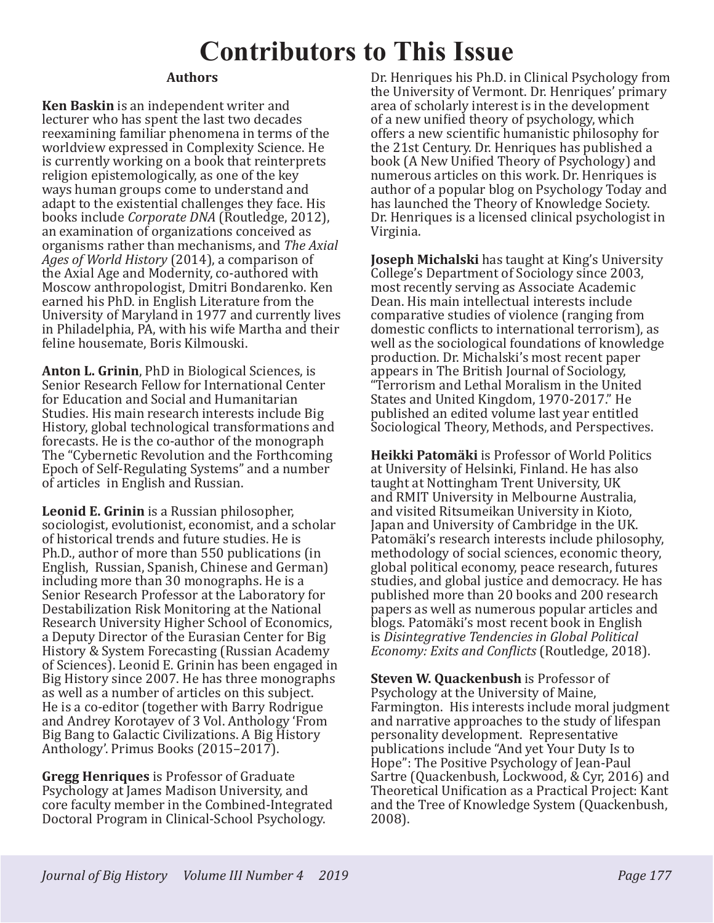## **Contributors to This Issue**

## **Authors**

**Ken Baskin** is an independent writer and lecturer who has spent the last two decades reexamining familiar phenomena in terms of the worldview expressed in Complexity Science. He is currently working on a book that reinterprets religion epistemologically, as one of the key ways human groups come to understand and adapt to the existential challenges they face. His books include *Corporate DNA* (Routledge, 2012), an examination of organizations conceived as organisms rather than mechanisms, and *The Axial Ages of World History* (2014), a comparison of the Axial Age and Modernity, co-authored with Moscow anthropologist, Dmitri Bondarenko. Ken earned his PhD. in English Literature from the University of Maryland in 1977 and currently lives in Philadelphia, PA, with his wife Martha and their feline housemate, Boris Kilmouski.

**Anton L. Grinin**, PhD in Biological Sciences, is Senior Research Fellow for International Center for Education and Social and Humanitarian Studies. His main research interests include Big History, global technological transformations and forecasts. He is the co-author of the monograph The "Cybernetic Revolution and the Forthcoming Epoch of Self-Regulating Systems" and a number of articles in English and Russian.

**Leonid E. Grinin** is a Russian philosopher, sociologist, evolutionist, economist, and a scholar of historical trends and future studies. He is Ph.D., author of more than 550 publications (in English, Russian, Spanish, Chinese and German) including more than 30 monographs. He is a Senior Research Professor at the Laboratory for Destabilization Risk Monitoring at the National Research University Higher School of Economics, a Deputy Director of the Eurasian Center for Big History & System Forecasting (Russian Academy of Sciences). Leonid E. Grinin has been engaged in Big History since 2007. He has three monographs as well as a number of articles on this subject. He is a co-editor (together with Barry Rodrigue and Andrey Korotayev of 3 Vol. Anthology 'From Big Bang to Galactic Civilizations. A Big History Anthology'. Primus Books (2015–2017).

**Gregg Henriques** is Professor of Graduate Psychology at James Madison University, and core faculty member in the Combined-Integrated Doctoral Program in Clinical-School Psychology.

Dr. Henriques his Ph.D. in Clinical Psychology from the University of Vermont. Dr. Henriques' primary area of scholarly interest is in the development of a new unified theory of psychology, which offers a new scientific humanistic philosophy for the 21st Century. Dr. Henriques has published a book (A New Unified Theory of Psychology) and numerous articles on this work. Dr. Henriques is author of a popular blog on Psychology Today and has launched the Theory of Knowledge Society. Dr. Henriques is a licensed clinical psychologist in Virginia.

**Joseph Michalski** has taught at King's University College's Department of Sociology since 2003, most recently serving as Associate Academic Dean. His main intellectual interests include comparative studies of violence (ranging from domestic conflicts to international terrorism), as well as the sociological foundations of knowledge production. Dr. Michalski's most recent paper appears in The British Journal of Sociology, "Terrorism and Lethal Moralism in the United States and United Kingdom, 1970-2017." He published an edited volume last year entitled Sociological Theory, Methods, and Perspectives.

**Heikki Patomäki** is Professor of World Politics at University of Helsinki, Finland. He has also taught at Nottingham Trent University, UK and RMIT University in Melbourne Australia, and visited Ritsumeikan University in Kioto, Japan and University of Cambridge in the UK. Patomäki's research interests include philosophy, methodology of social sciences, economic theory, global political economy, peace research, futures studies, and global justice and democracy. He has published more than 20 books and 200 research papers as well as numerous popular articles and blogs. Patomäki's most recent book in English is *Disintegrative Tendencies in Global Political Economy: Exits and Conflicts* (Routledge, 2018).

**Steven W. Quackenbush** is Professor of Psychology at the University of Maine, Farmington. His interests include moral judgment and narrative approaches to the study of lifespan personality development. Representative publications include "And yet Your Duty Is to Hope": The Positive Psychology of Jean-Paul Sartre (Quackenbush, Lockwood, & Cyr, 2016) and Theoretical Unification as a Practical Project: Kant and the Tree of Knowledge System (Quackenbush, 2008).